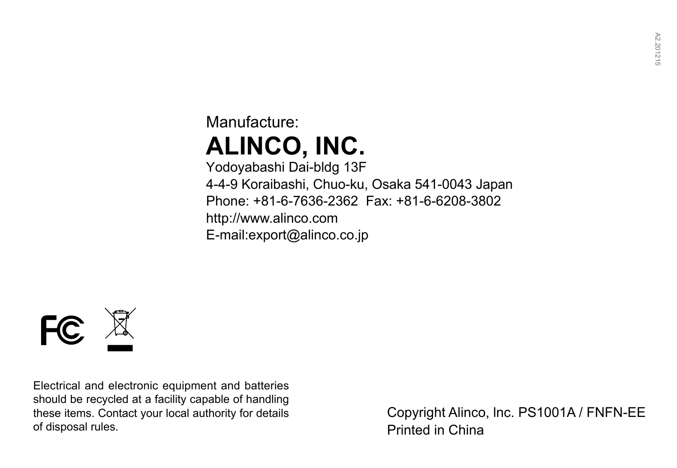## Manufacture: **ALINCO, INC.**

Yodoyabashi Dai-bldg 13F 4-4-9 Koraibashi, Chuo-ku, Osaka 541-0043 Japan Phone: +81-6-7636-2362 Fax: +81-6-6208-3802 http://www.alinco.com E-mail:export@alinco.co.jp



Electrical and electronic equipment and batteries should be recycled at a facility capable of handling these items. Contact your local authority for details of disposal rules.

Copyright Alinco, lnc. PS1001A / FNFN-EE Printed in China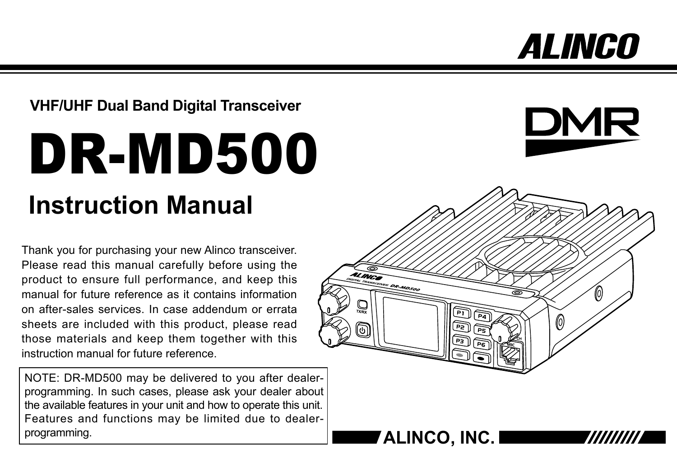# *ALINGO*

## **VHF/UHF Dual Band Digital Transceiver**

# DR-MD500 **Instruction Manual**

Thank you for purchasing your new Alinco transceiver. Please read this manual carefully before using the product to ensure full performance, and keep this manual for future reference as it contains information on after-sales services. In case addendum or errata sheets are included with this product, please read those materials and keep them together with this instruction manual for future reference.

NOTE: DR-MD500 may be delivered to you after dealerprogramming. In such cases, please ask your dealer about the available features in your unit and how to operate this unit. Features and functions may be limited due to dealerprogramming. **ALINCO, INC.** 



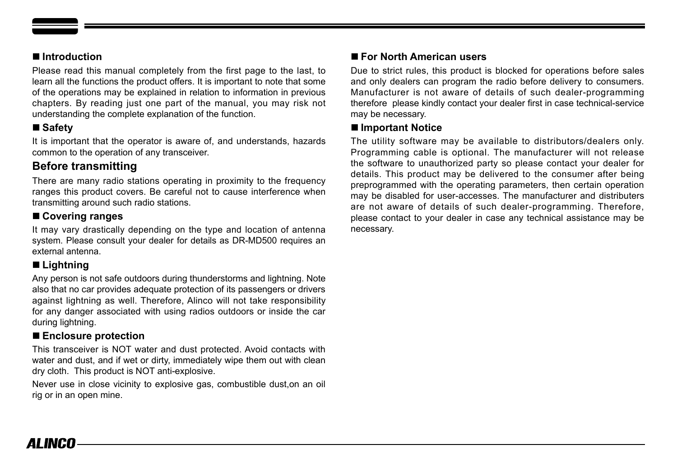#### ■ **Introduction**

Please read this manual completely from the first page to the last, to learn all the functions the product offers. It is important to note that some of the operations may be explained in relation to information in previous chapters. By reading just one part of the manual, you may risk not understanding the complete explanation of the function.

### ■ Safet**v**

It is important that the operator is aware of, and understands, hazards common to the operation of any transceiver.

## **Before transmitting**

There are many radio stations operating in proximity to the frequency ranges this product covers. Be careful not to cause interference when transmitting around such radio stations.

#### ■ **Covering ranges**

It may vary drastically depending on the type and location of antenna system. Please consult your dealer for details as DR-MD500 requires an external antenna.

#### ■ **Lightning**

Any person is not safe outdoors during thunderstorms and lightning. Note also that no car provides adequate protection of its passengers or drivers against lightning as well. Therefore, Alinco will not take responsibility for any danger associated with using radios outdoors or inside the car during lightning.

#### ■ **Enclosure protection**

This transceiver is NOT water and dust protected. Avoid contacts with water and dust, and if wet or dirty, immediately wipe them out with clean dry cloth. This product is NOT anti-explosive.

Never use in close vicinity to explosive gas, combustible dust,on an oil rig or in an open mine.

#### ■ **For North American users**

Due to strict rules, this product is blocked for operations before sales and only dealers can program the radio before delivery to consumers. Manufacturer is not aware of details of such dealer-programming therefore please kindly contact your dealer first in case technical-service may be necessary.

#### ■ **Important Notice**

The utility software may be available to distributors/dealers only. Programming cable is optional. The manufacturer will not release the software to unauthorized party so please contact your dealer for details. This product may be delivered to the consumer after being preprogrammed with the operating parameters, then certain operation may be disabled for user-accesses. The manufacturer and distributers are not aware of details of such dealer-programming. Therefore, please contact to your dealer in case any technical assistance may be necessary.

## AI INCO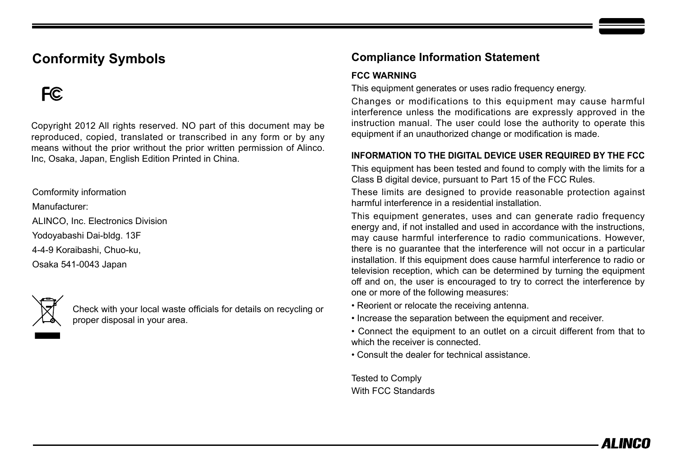## **Conformity Symbols**

## F<sub>C</sub>

Copyright 2012 All rights reserved. NO part of this document may be reproduced, copied, translated or transcribed in any form or by any means without the prior writhout the prior written permission of Alinco. Inc, Osaka, Japan, English Edition Printed in China.

Comformity information

Manufacturer:

ALINCO, Inc. Electronics Division

Yodoyabashi Dai-bldg. 13F

4-4-9 Koraibashi, Chuo-ku,

Osaka 541-0043 Japan



Check with your local waste officials for details on recycling or proper disposal in your area.

### **Compliance Information Statement**

#### **FCC WARNING**

This equipment generates or uses radio frequency energy.

Changes or modifications to this equipment may cause harmful interference unless the modifications are expressly approved in the instruction manual. The user could lose the authority to operate this equipment if an unauthorized change or modification is made.

#### **INFORMATION TO THE DIGITAL DEVICE USER REQUIRED BY THE FCC**

This equipment has been tested and found to comply with the limits for a Class B digital device, pursuant to Part 15 of the FCC Rules.

These limits are designed to provide reasonable protection against harmful interference in a residential installation.

This equipment generates, uses and can generate radio frequency energy and, if not installed and used in accordance with the instructions, may cause harmful interference to radio communications. However, there is no guarantee that the interference will not occur in a particular installation. If this equipment does cause harmful interference to radio or television reception, which can be determined by turning the equipment off and on, the user is encouraged to try to correct the interference by one or more of the following measures:

- Reorient or relocate the receiving antenna.
- Increase the separation between the equipment and receiver.

• Connect the equipment to an outlet on a circuit different from that to which the receiver is connected.

• Consult the dealer for technical assistance.

Tested to Comply With FCC Standards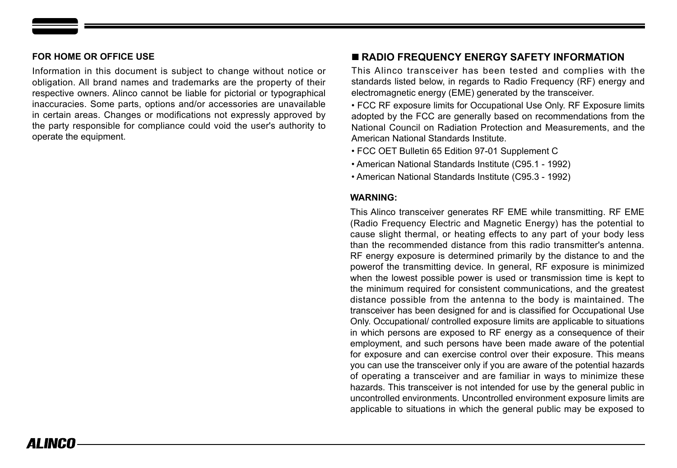#### **FOR HOME OR OFFICE USE**

Information in this document is subject to change without notice or obligation. All brand names and trademarks are the property of their respective owners. Alinco cannot be liable for pictorial or typographical inaccuracies. Some parts, options and/or accessories are unavailable in certain areas. Changes or modifications not expressly approved by the party responsible for compliance could void the user's authority to operate the equipment.

#### ■ **RADIO FREQUENCY ENERGY SAFETY INFORMATION**

This Alinco transceiver has been tested and complies with the standards listed below, in regards to Radio Frequency (RF) energy and electromagnetic energy (EME) generated by the transceiver.

• FCC RF exposure limits for Occupational Use Only. RF Exposure limits adopted by the FCC are generally based on recommendations from the National Council on Radiation Protection and Measurements, and the American National Standards Institute.

• FCC OET Bulletin 65 Edition 97-01 Supplement C

• American National Standards Institute (C95.1 - 1992)

• American National Standards Institute (C95.3 - 1992)

#### **WARNING:**

This Alinco transceiver generates RF EME while transmitting. RF EME (Radio Frequency Electric and Magnetic Energy) has the potential to cause slight thermal, or heating effects to any part of your body less than the recommended distance from this radio transmitter's antenna. RF energy exposure is determined primarily by the distance to and the powerof the transmitting device. In general, RF exposure is minimized when the lowest possible power is used or transmission time is kept to the minimum required for consistent communications, and the greatest distance possible from the antenna to the body is maintained. The transceiver has been designed for and is classified for Occupational Use Only. Occupational/ controlled exposure limits are applicable to situations in which persons are exposed to RF energy as a consequence of their employment, and such persons have been made aware of the potential for exposure and can exercise control over their exposure. This means you can use the transceiver only if you are aware of the potential hazards of operating a transceiver and are familiar in ways to minimize these hazards. This transceiver is not intended for use by the general public in uncontrolled environments. Uncontrolled environment exposure limits are applicable to situations in which the general public may be exposed to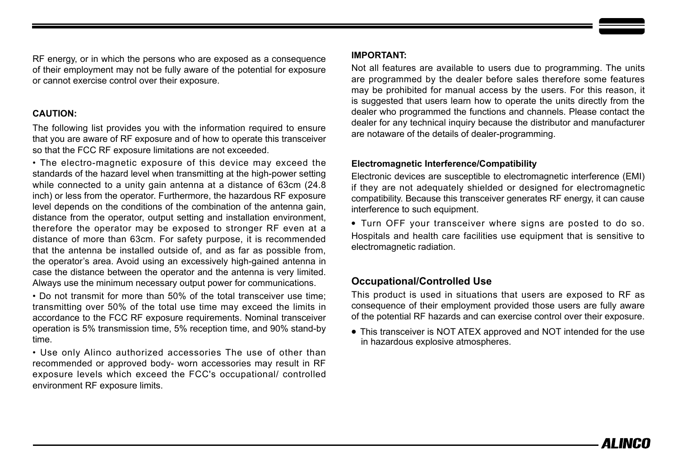RF energy, or in which the persons who are exposed as a consequence of their employment may not be fully aware of the potential for exposure or cannot exercise control over their exposure.

#### **CAUTION:**

The following list provides you with the information required to ensure that you are aware of RF exposure and of how to operate this transceiver so that the FCC RF exposure limitations are not exceeded.

• The electro-magnetic exposure of this device may exceed the standards of the hazard level when transmitting at the high-power setting while connected to a unity gain antenna at a distance of 63cm (24.8) inch) or less from the operator. Furthermore, the hazardous RF exposure level depends on the conditions of the combination of the antenna gain, distance from the operator, output setting and installation environment, therefore the operator may be exposed to stronger RF even at a distance of more than 63cm. For safety purpose, it is recommended that the antenna be installed outside of, and as far as possible from, the operator's area. Avoid using an excessively high-gained antenna in case the distance between the operator and the antenna is very limited. Always use the minimum necessary output power for communications.

• Do not transmit for more than 50% of the total transceiver use time; transmitting over 50% of the total use time may exceed the limits in accordance to the FCC RF exposure requirements. Nominal transceiver operation is 5% transmission time, 5% reception time, and 90% stand-by time.

• Use only Alinco authorized accessories The use of other than recommended or approved body- worn accessories may result in RF exposure levels which exceed the FCC's occupational/ controlled environment RF exposure limits.

#### **IMPORTANT:**

Not all features are available to users due to programming. The units are programmed by the dealer before sales therefore some features may be prohibited for manual access by the users. For this reason, it is suggested that users learn how to operate the units directly from the dealer who programmed the functions and channels. Please contact the dealer for any technical inquiry because the distributor and manufacturer are notaware of the details of dealer-programming.

#### **Electromagnetic Interference/Compatibility**

Electronic devices are susceptible to electromagnetic interference (EMI) if they are not adequately shielded or designed for electromagnetic compatibility. Because this transceiver generates RF energy, it can cause interference to such equipment.

**•** Turn OFF your transceiver where signs are posted to do so. Hospitals and health care facilities use equipment that is sensitive to electromagnetic radiation.

#### **Occupational/Controlled Use**

This product is used in situations that users are exposed to RF as consequence of their employment provided those users are fully aware of the potential RF hazards and can exercise control over their exposure.

**•** This transceiver is NOT ATEX approved and NOT intended for the use in hazardous explosive atmospheres.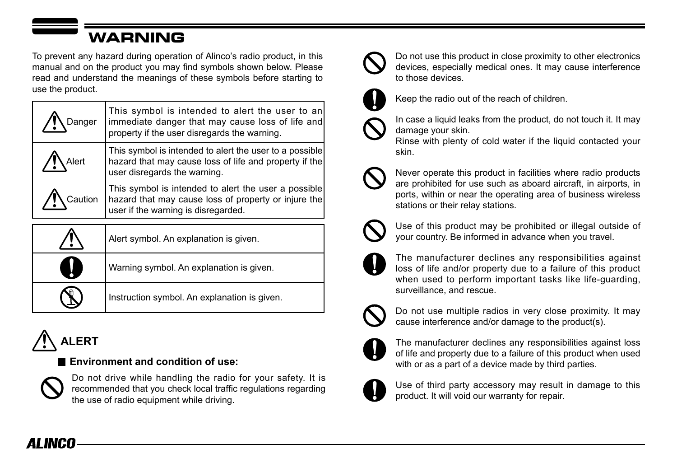## WARNING

To prevent any hazard during operation of Alinco's radio product, in this manual and on the product you may find symbols shown below. Please read and understand the meanings of these symbols before starting to use the product.

| Danger  | This symbol is intended to alert the user to an<br>immediate danger that may cause loss of life and<br>property if the user disregards the warning. |
|---------|-----------------------------------------------------------------------------------------------------------------------------------------------------|
| Alert   | This symbol is intended to alert the user to a possible<br>hazard that may cause loss of life and property if the<br>user disregards the warning.   |
| Caution | This symbol is intended to alert the user a possible<br>hazard that may cause loss of property or injure the<br>user if the warning is disregarded. |
|         | Alert symbol. An explanation is given.                                                                                                              |
|         | Warning symbol. An explanation is given.                                                                                                            |
|         | Instruction symbol. An explanation is given.                                                                                                        |

## **ALERT**

### **Environment and condition of use:**



Do not drive while handling the radio for your safety. It is recommended that you check local traffic regulations regarding the use of radio equipment while driving.



Do not use this product in close proximity to other electronics devices, especially medical ones. It may cause interference to those devices.



Keep the radio out of the reach of children.



In case a liquid leaks from the product, do not touch it. It may damage your skin.

Rinse with plenty of cold water if the liquid contacted your skin.



Never operate this product in facilities where radio products are prohibited for use such as aboard aircraft, in airports, in ports, within or near the operating area of business wireless stations or their relay stations.



Use of this product may be prohibited or illegal outside of your country. Be informed in advance when you travel.



The manufacturer declines any responsibilities against loss of life and/or property due to a failure of this product when used to perform important tasks like life-guarding, surveillance, and rescue.



Do not use multiple radios in very close proximity. It may cause interference and/or damage to the product(s).



The manufacturer declines any responsibilities against loss of life and property due to a failure of this product when used with or as a part of a device made by third parties.



Use of third party accessory may result in damage to this product. It will void our warranty for repair.

## AI INCO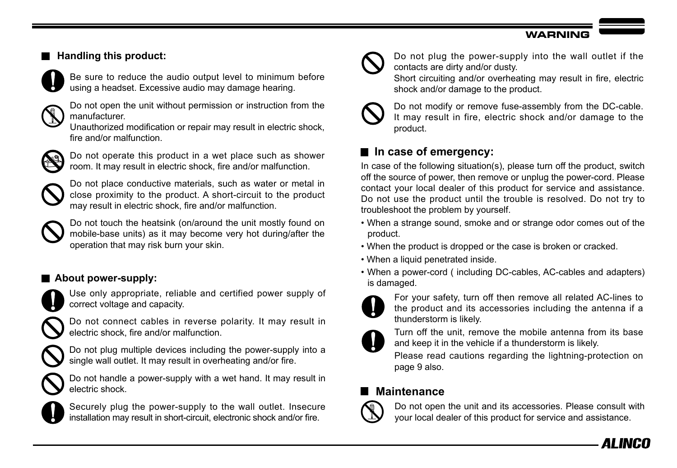#### **WADNING**

## **Handling this product:**



Be sure to reduce the audio output level to minimum before using a headset. Excessive audio may damage hearing.



Do not open the unit without permission or instruction from the manufacturer.

Unauthorized modification or repair may result in electric shock, fire and/or malfunction.



Do not operate this product in a wet place such as shower room. It may result in electric shock, fire and/or malfunction.



Do not place conductive materials, such as water or metal in close proximity to the product. A short-circuit to the product may result in electric shock, fire and/or malfunction.



Do not touch the heatsink (on/around the unit mostly found on mobile-base units) as it may become very hot during/after the operation that may risk burn your skin.

## **About power-supply:**



Use only appropriate, reliable and certified power supply of correct voltage and capacity.

Do not connect cables in reverse polarity. It may result in electric shock, fire and/or malfunction.



Do not plug multiple devices including the power-supply into a single wall outlet. It may result in overheating and/or fire.

Do not handle a power-supply with a wet hand. It may result in electric shock.



Securely plug the power-supply to the wall outlet. Insecure installation may result in short-circuit, electronic shock and/or fire.



Do not plug the power-supply into the wall outlet if the contacts are dirty and/or dusty.

Short circuiting and/or overheating may result in fire, electric shock and/or damage to the product.



Do not modify or remove fuse-assembly from the DC-cable. It may result in fire, electric shock and/or damage to the product.

## **In case of emergency:**

In case of the following situation(s), please turn off the product, switch off the source of power, then remove or unplug the power-cord. Please contact your local dealer of this product for service and assistance. Do not use the product until the trouble is resolved. Do not try to troubleshoot the problem by yourself.

- When a strange sound, smoke and or strange odor comes out of the product.
- When the product is dropped or the case is broken or cracked.
- When a liquid penetrated inside.
- When a power-cord ( including DC-cables, AC-cables and adapters) is damaged.



For your safety, turn off then remove all related AC-lines to the product and its accessories including the antenna if a thunderstorm is likely.



Turn off the unit, remove the mobile antenna from its base and keep it in the vehicle if a thunderstorm is likely.

Please read cautions regarding the lightning-protection on page 9 also.

## **Maintenance**



Do not open the unit and its accessories. Please consult with your local dealer of this product for service and assistance.

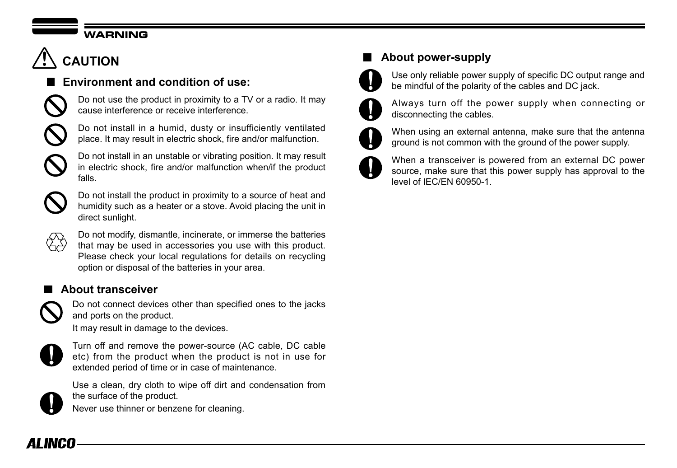### **WARNING**

## **CAUTION**

## **Environment and condition of use:**



Do not use the product in proximity to a TV or a radio. It may cause interference or receive interference.





Do not install in an unstable or vibrating position. It may result in electric shock, fire and/or malfunction when/if the product falls.



Do not install the product in proximity to a source of heat and humidity such as a heater or a stove. Avoid placing the unit in direct sunlight.



Do not modify, dismantle, incinerate, or immerse the batteries that may be used in accessories you use with this product. Please check your local regulations for details on recycling option or disposal of the batteries in your area.

## **About transceiver**



Do not connect devices other than specified ones to the jacks and ports on the product.

It may result in damage to the devices.



Turn off and remove the power-source (AC cable, DC cable etc) from the product when the product is not in use for extended period of time or in case of maintenance.



Use a clean, dry cloth to wipe off dirt and condensation from the surface of the product.

Never use thinner or benzene for cleaning.

## **About power-supply**



Use only reliable power supply of specific DC output range and be mindful of the polarity of the cables and DC jack.



Always turn off the power supply when connecting or disconnecting the cables.



When using an external antenna, make sure that the antenna ground is not common with the ground of the power supply.



When a transceiver is powered from an external DC power source, make sure that this power supply has approval to the level of IEC/EN 60950-1.

## AI INCO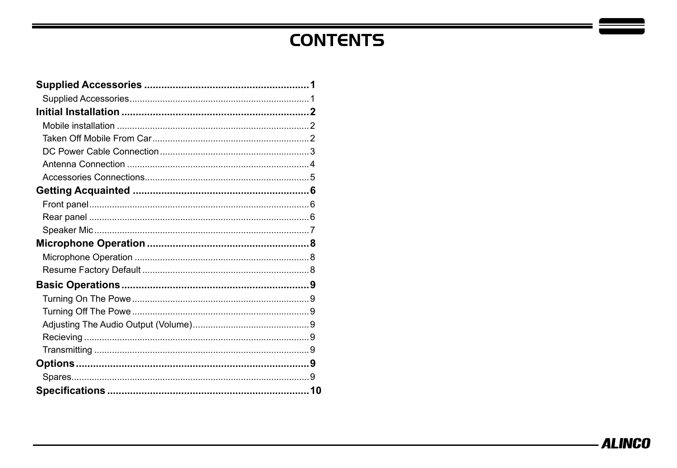## **CONTENTS**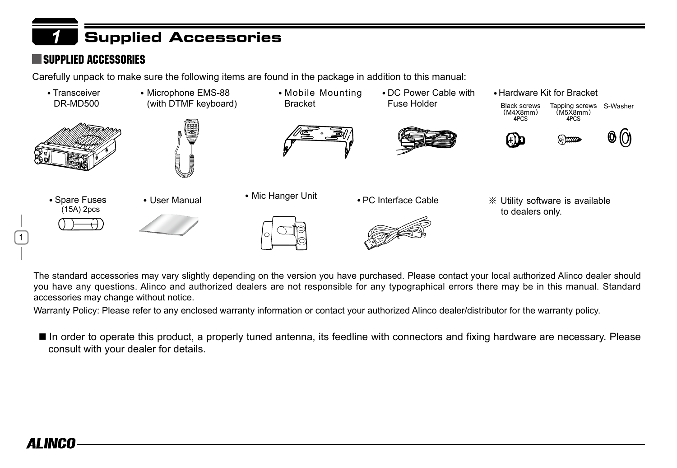## <span id="page-10-0"></span>*1* Supplied Accessories

## Supplied Accessories

Carefully unpack to make sure the following items are found in the package in addition to this manual:



The standard accessories may vary slightly depending on the version you have purchased. Please contact your local authorized Alinco dealer should you have any questions. Alinco and authorized dealers are not responsible for any typographical errors there may be in this manual. Standard accessories may change without notice.

Warranty Policy: Please refer to any enclosed warranty information or contact your authorized Alinco dealer/distributor for the warranty policy.

■ In order to operate this product, a properly tuned antenna, its feedline with connectors and fixing hardware are necessary. Please consult with your dealer for details.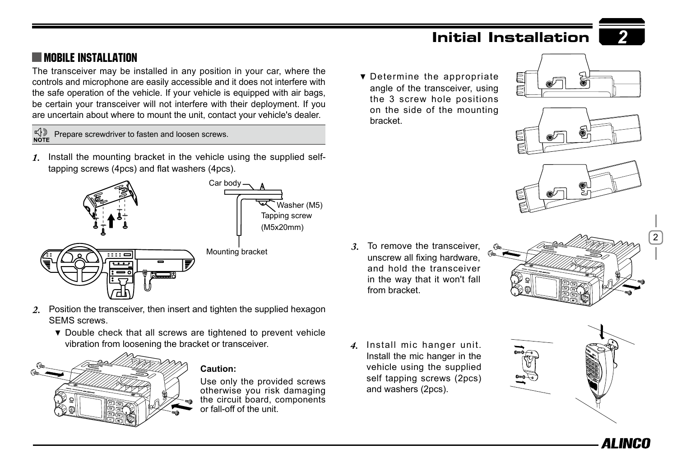

## <span id="page-11-0"></span>**MOBILE INSTALLATION**

The transceiver may be installed in any position in your car, where the controls and microphone are easily accessible and it does not interfere with the safe operation of the vehicle. If your vehicle is equipped with air bags, be certain your transceiver will not interfere with their deployment. If you are uncertain about where to mount the unit, contact your vehicle's dealer.

 $\bigoplus_{\mathsf{NOTE}}$ Prepare screwdriver to fasten and loosen screws.

*1.* Install the mounting bracket in the vehicle using the supplied selftapping screws (4pcs) and flat washers (4pcs).



- 2. Position the transceiver, then insert and tighten the supplied hexagon SEMS screws.
	- $\bullet$  Double check that all screws are tightened to prevent vehicle vibration from loosening the bracket or transceiver.



#### **Caution:**

Use only the provided screws otherwise you risk damaging the circuit board, components or fall-off of the unit.

**v** Determine the appropriate angle of the transceiver, using the 3 screw hole positions on the side of the mounting bracket.







*3.* To remove the transceiver, unscrew all fixing hardware, and hold the transceiver in the way that it won't fall from bracket.



*4.* Install mic hanger unit. Install the mic hanger in the vehicle using the supplied self tapping screws (2pcs) and washers (2pcs).



AI INIFI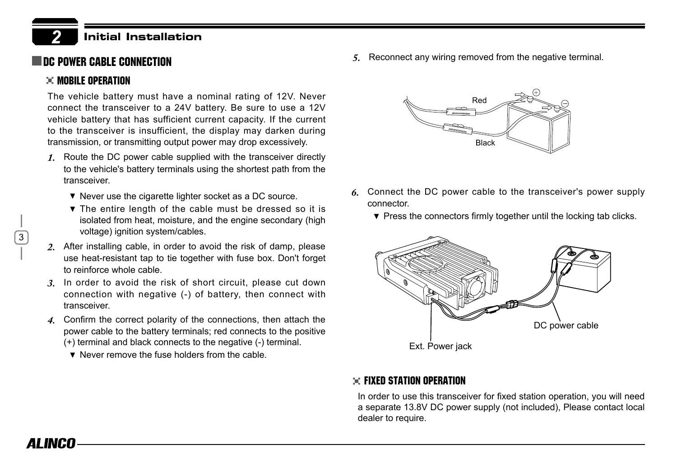## **THE POWER CABLE CONNECTION**

#### **EE MORILE OPERATION**

<span id="page-12-0"></span>*2*

3

AI INCO

The vehicle battery must have a nominal rating of 12V. Never connect the transceiver to a 24V battery. Be sure to use a 12V vehicle battery that has sufficient current capacity. If the current to the transceiver is insufficient, the display may darken during transmission, or transmitting output power may drop excessively.

- *1.* Route the DC power cable supplied with the transceiver directly to the vehicle's battery terminals using the shortest path from the transceiver.
	- $\blacktriangledown$  Never use the cigarette lighter socket as a DC source.
	- The entire length of the cable must be dressed so it is isolated from heat, moisture, and the engine secondary (high voltage) ignition system/cables.
- *2.* After installing cable, in order to avoid the risk of damp, please use heat-resistant tap to tie together with fuse box. Don't forget to reinforce whole cable.
- *3.* In order to avoid the risk of short circuit, please cut down connection with negative (-) of battery, then connect with transceiver.
- *4.* Confirm the correct polarity of the connections, then attach the power cable to the battery terminals; red connects to the positive (+) terminal and black connects to the negative (-) terminal.
	- **v** Never remove the fuse holders from the cable.

*5.* Reconnect any wiring removed from the negative terminal.



- *6.* Connect the DC power cable to the transceiver's power supply connector.
	- $\blacktriangledown$  Press the connectors firmly together until the locking tab clicks.



#### $\div$  Fixed Station Operation

In order to use this transceiver for fixed station operation, you will need a separate 13.8V DC power supply (not included), Please contact local dealer to require.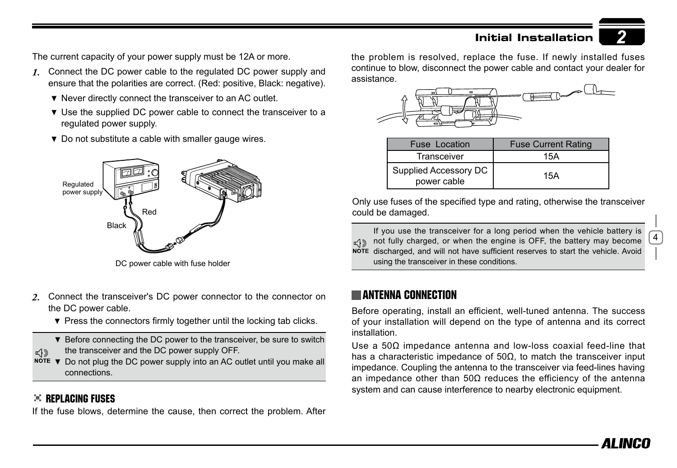The current capacity of your power supply must be 12A or more.

- *1.* Connect the DC power cable to the regulated DC power supply and ensure that the polarities are correct. (Red: positive, Black: negative).
	- ▼ Never directly connect the transceiver to an AC outlet.
	- **v** Use the supplied DC power cable to connect the transceiver to a regulated power supply.
	- $\bullet$  Do not substitute a cable with smaller gauge wires.



DC power cable with fuse holder

- *2.* Connect the transceiver's DC power connector to the connector on the DC power cable.
	- $\blacktriangledown$  Press the connectors firmly together until the locking tab clicks.

 $\blacktriangledown$  Before connecting the DC power to the transceiver, be sure to switch the transceiver and the DC power supply OFF.

 $N^{\text{OTE}}$   $\blacktriangledown$  Do not plug the DC power supply into an AC outlet until you make all connections.

#### REPLACING FUSES

 $\mathbb{R}$ 

If the fuse blows, determine the cause, then correct the problem. After

the problem is resolved, replace the fuse. If newly installed fuses continue to blow, disconnect the power cable and contact your dealer for assistance.



| <b>Fuse Location</b>                 | <b>Fuse Current Rating</b> |
|--------------------------------------|----------------------------|
| Transceiver                          | 15A                        |
| Supplied Accessory DC<br>power cable | 15A                        |

Only use fuses of the specified type and rating, otherwise the transceiver could be damaged.

If you use the transceiver for a long period when the vehicle battery is  $\pi$ () not fully charged, or when the engine is OFF, the battery may become NOTE discharged, and will not have sufficient reserves to start the vehicle. Avoid using the transceiver in these conditions.

### Antenna Connection

Before operating, install an efficient, well-tuned antenna. The success of your installation will depend on the type of antenna and its correct installation.

Use a 50Ω impedance antenna and low-loss coaxial feed-line that has a characteristic impedance of  $50Ω$ , to match the transceiver input impedance. Coupling the antenna to the transceiver via feed-lines having an impedance other than 50Ω reduces the efficiency of the antenna system and can cause interference to nearby electronic equipment.

4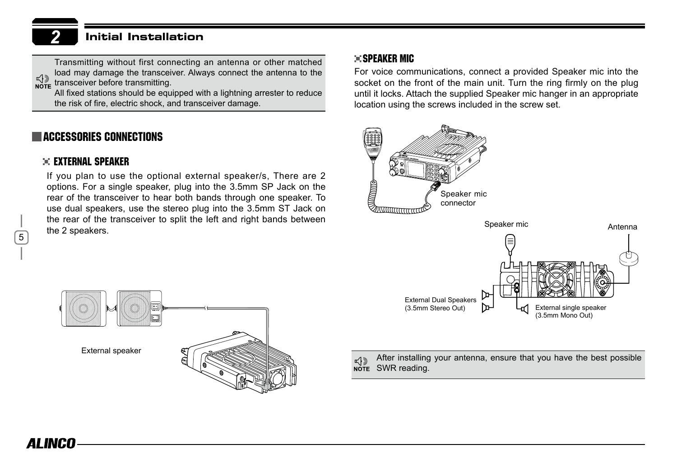<span id="page-14-0"></span>Transmitting without first connecting an antenna or other matched load may damage the transceiver. Always connect the antenna to the  $\begin{bmatrix} \downarrow \\ \downarrow \end{bmatrix}$  transceiver before transmitting.

All fixed stations should be equipped with a lightning arrester to reduce the risk of fire, electric shock, and transceiver damage.

### **LACCESSORIES CONNECTIONS**

#### External Speaker

If you plan to use the optional external speaker/s, There are 2 options. For a single speaker, plug into the 3.5mm SP Jack on the rear of the transceiver to hear both bands through one speaker. To use dual speakers, use the stereo plug into the 3.5mm ST Jack on the rear of the transceiver to split the left and right bands between the 2 speakers.

#### **SPEAKER MICH**

For voice communications, connect a provided Speaker mic into the socket on the front of the main unit. Turn the ring firmly on the plug until it locks. Attach the supplied Speaker mic hanger in an appropriate location using the screws included in the screw set.



After installing your antenna, ensure that you have the best possible  $\pi$ ( $\gg$ NOTE SWR reading.

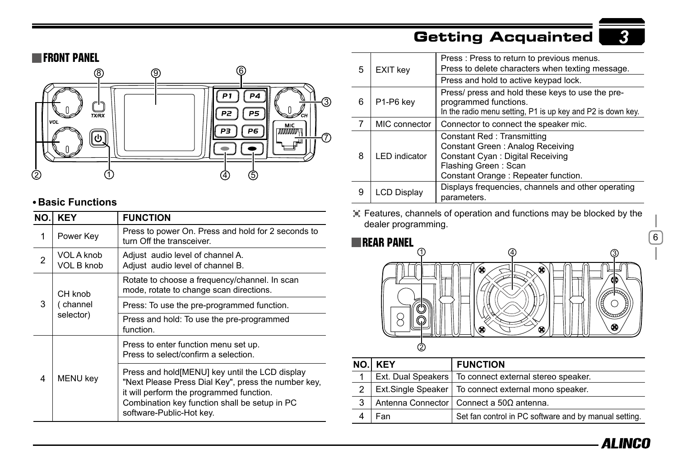## Getting Acquainted

<span id="page-15-0"></span>

### **Basic Functions**

| NO. | <b>KEY</b>                       | <b>FUNCTION</b>                                                                                                                                                                                                                 |
|-----|----------------------------------|---------------------------------------------------------------------------------------------------------------------------------------------------------------------------------------------------------------------------------|
| 1   | Power Key                        | Press to power On. Press and hold for 2 seconds to<br>turn Off the transceiver.                                                                                                                                                 |
| 2   | VOL A knob<br><b>VOL B knob</b>  | Adjust audio level of channel A.<br>Adjust audio level of channel B.                                                                                                                                                            |
| 3   | CH knob<br>(channel<br>selector) | Rotate to choose a frequency/channel. In scan<br>mode, rotate to change scan directions.                                                                                                                                        |
|     |                                  | Press: To use the pre-programmed function.                                                                                                                                                                                      |
|     |                                  | Press and hold: To use the pre-programmed<br>function.                                                                                                                                                                          |
| 4   | <b>MENU</b> key                  | Press to enter function menu set up.<br>Press to select/confirm a selection.                                                                                                                                                    |
|     |                                  | Press and hold [MENU] key until the LCD display<br>"Next Please Press Dial Key", press the number key,<br>it will perform the programmed function.<br>Combination key function shall be setup in PC<br>software-Public-Hot key. |

| 5 | <b>EXIT key</b>      | Press: Press to return to previous menus.<br>Press to delete characters when texting message.                                                                      |
|---|----------------------|--------------------------------------------------------------------------------------------------------------------------------------------------------------------|
|   |                      | Press and hold to active keypad lock.                                                                                                                              |
| 6 | P1-P6 key            | Press/ press and hold these keys to use the pre-<br>programmed functions.<br>In the radio menu setting, P1 is up key and P2 is down key.                           |
| 7 | MIC connector        | Connector to connect the speaker mic.                                                                                                                              |
| 8 | <b>LED</b> indicator | Constant Red: Transmitting<br>Constant Green: Analog Receiving<br>Constant Cyan: Digital Receiving<br>Flashing Green: Scan<br>Constant Orange : Repeater function. |
| 9 | <b>LCD Display</b>   | Displays frequencies, channels and other operating<br>parameters.                                                                                                  |

Features, channels of operation and functions may be blocked by the dealer programming.



|                | NO. KEY | <b>FUNCTION</b>                                          |
|----------------|---------|----------------------------------------------------------|
|                |         | Ext. Dual Speakers   To connect external stereo speaker. |
| $\mathfrak{p}$ |         | Ext.Single Speaker   To connect external mono speaker.   |
| 3              |         | Antenna Connector   Connect a 50Ω antenna.               |
|                | Fan     | Set fan control in PC software and by manual setting.    |



 $\overline{6}$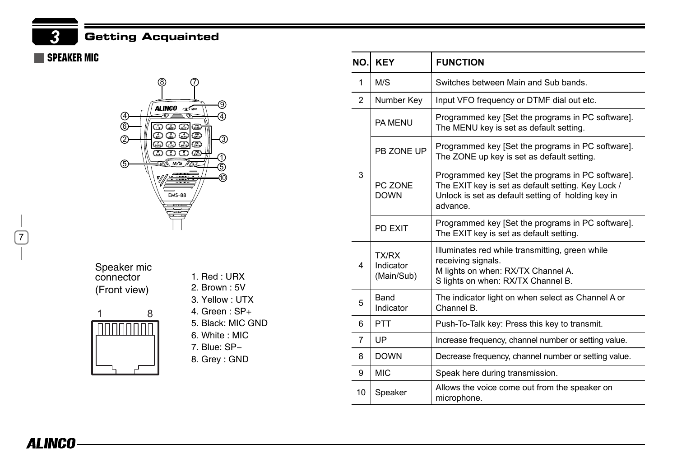<span id="page-16-0"></span>*3* Getting Acquainted

### SPEAKER MIC



Speaker mic connector (Front view)



1. Red : URX 2. Brown : 5V 3. Yellow : UTX 4. Green : SP+ 5. Black: MIC GND 6. White : MIC 7. Blue: SP-8. Grey : GND

| NO.I           | <b>KEY</b>                       | <b>FUNCTION</b>                                                                                                                                                           |
|----------------|----------------------------------|---------------------------------------------------------------------------------------------------------------------------------------------------------------------------|
| 1              | M/S                              | Switches between Main and Sub bands.                                                                                                                                      |
| $\overline{2}$ | Number Key                       | Input VFO frequency or DTMF dial out etc.                                                                                                                                 |
| 3              | <b>PA MENU</b>                   | Programmed key [Set the programs in PC software].<br>The MENU key is set as default setting.                                                                              |
|                | PB ZONE UP                       | Programmed key [Set the programs in PC software].<br>The ZONE up key is set as default setting.                                                                           |
|                | PC ZONE<br><b>DOWN</b>           | Programmed key [Set the programs in PC software].<br>The EXIT key is set as default setting. Key Lock /<br>Unlock is set as default setting of holding key in<br>advance. |
|                | PD FXIT                          | Programmed key [Set the programs in PC software].<br>The EXIT key is set as default setting.                                                                              |
| 4              | TX/RX<br>Indicator<br>(Main/Sub) | Illuminates red while transmitting, green while<br>receiving signals.<br>M lights on when: RX/TX Channel A.<br>S lights on when: RX/TX Channel B.                         |
| 5              | <b>Band</b><br>Indicator         | The indicator light on when select as Channel A or<br>Channel B.                                                                                                          |
| 6              | <b>PTT</b>                       | Push-To-Talk key: Press this key to transmit.                                                                                                                             |
| $\overline{7}$ | UP                               | Increase frequency, channel number or setting value.                                                                                                                      |
| 8              | <b>DOWN</b>                      | Decrease frequency, channel number or setting value.                                                                                                                      |
| 9              | <b>MIC</b>                       | Speak here during transmission.                                                                                                                                           |
| 10             | Speaker                          | Allows the voice come out from the speaker on<br>microphone.                                                                                                              |

์ 7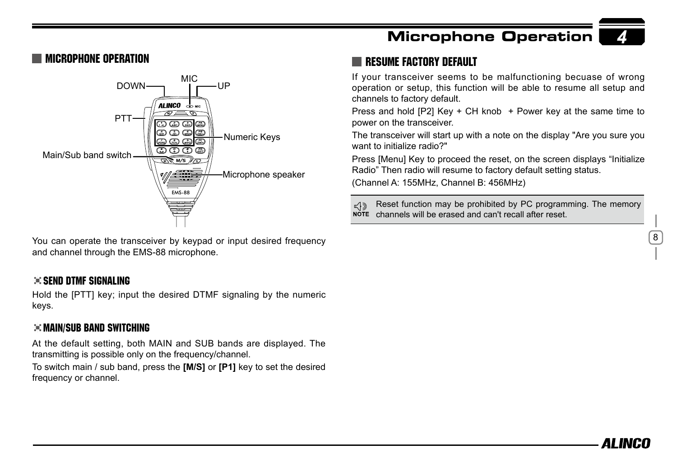### Microphone Operation



You can operate the transceiver by keypad or input desired frequency and channel through the EMS-88 microphone.

#### $\gg$  send dtmf signaling

Hold the [PTT] key; input the desired DTMF signaling by the numeric keys.

#### $\div$  Main/Sub band switching

At the default setting, both MAIN and SUB bands are displayed. The transmitting is possible only on the frequency/channel.

To switch main / sub band, press the **[M/S]** or **[P1]** key to set the desired frequency or channel.

## Microphone Operation

### RESUME FACTORY DEFAULT

If your transceiver seems to be malfunctioning becuase of wrong operation or setup, this function will be able to resume all setup and channels to factory default.

Press and hold [P2] Key + CH knob + Power key at the same time to power on the transceiver.

The transceiver will start up with a note on the display "Are you sure you want to initialize radio?"

Press [Menu] Key to proceed the reset, on the screen displays "Initialize Radio" Then radio will resume to factory default setting status.

(Channel A: 155MHz, Channel B: 456MHz)

Reset function may be prohibited by PC programming. The memory ๔ใจ NOTE channels will be erased and can't recall after reset

8

*4*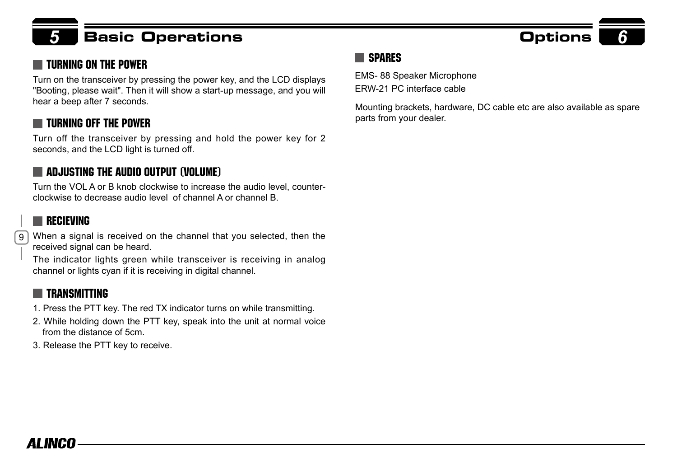## *5* Basic Operations Options *6*

## TURNING ON THE POWER SPARES

Turn on the transceiver by pressing the power key, and the LCD displays "Booting, please wait". Then it will show a start-up message, and you will

## Turning off the power

Turn off the transceiver by pressing and hold the power key for 2 seconds, and the LCD light is turned off.

## $\blacksquare$  adjusting the Audio Output (Volume)

Turn the VOL A or B knob clockwise to increase the audio level, counterclockwise to decrease audio level of channel A or channel B.

## **RECIEVING**

 $\mathsf{g}$ When a signal is received on the channel that you selected, then the received signal can be heard.

The indicator lights green while transceiver is receiving in analog channel or lights cyan if it is receiving in digital channel.

### **TRANSMITTING**

- 1. Press the PTT key. The red TX indicator turns on while transmitting.
- 2. While holding down the PTT key, speak into the unit at normal voice from the distance of 5cm.
- 3. Release the PTT key to receive.

EMS- 88 Speaker Microphone ERW-21 PC interface cable

Mounting brackets, hardware, DC cable etc are also available as spare parts from your dealer.

## AI INCN